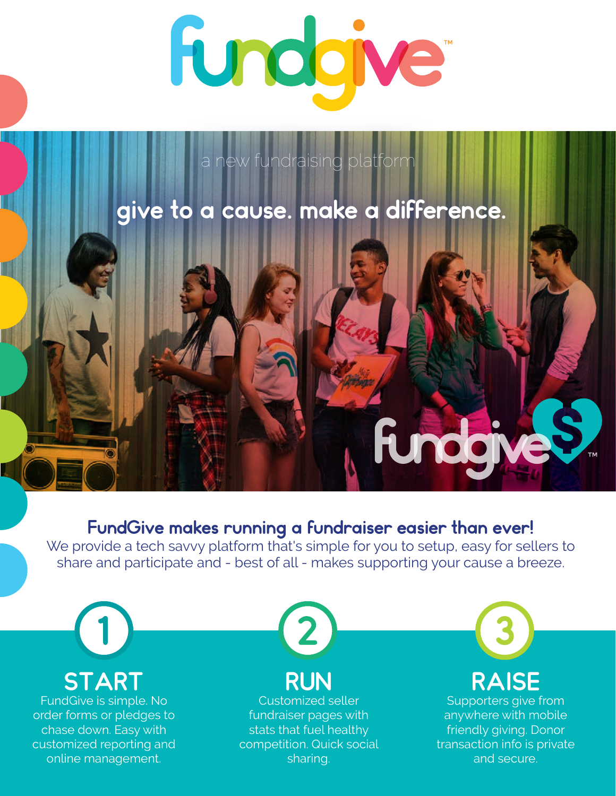

a new fundraising platform

## give to a cause. make a difference.

### FundGive makes running a fundraiser easier than ever!

We provide a tech savvy platform that's simple for you to setup, easy for sellers to share and participate and - best of all - makes supporting your cause a breeze.



**START** FundGive is simple. No

order forms or pledges to chase down. Easy with customized reporting and online management.



# RUN

Customized seller fundraiser pages with stats that fuel healthy competition. Quick social sharing.



**FundaneS** 

Supporters give from anywhere with mobile friendly giving. Donor transaction info is private and secure.